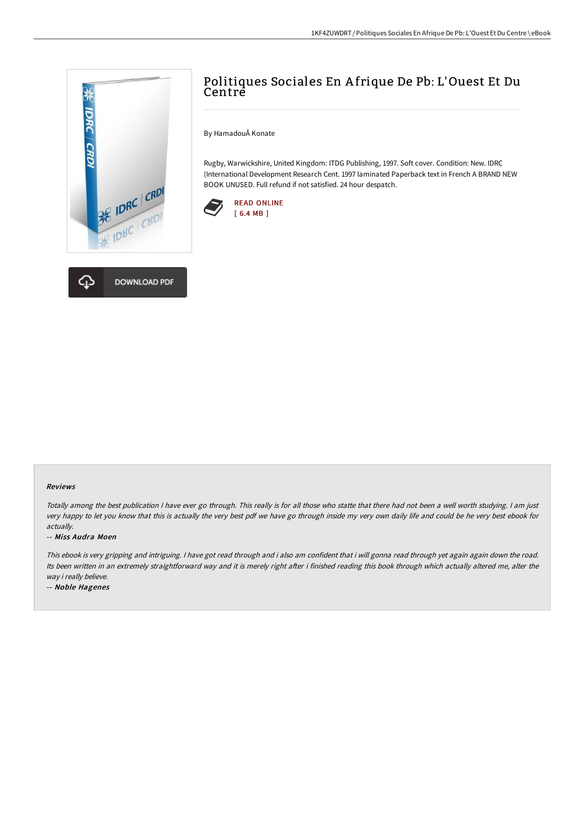



# Politiques Sociales En A frique De Pb: L'Ouest Et Du Centre

By HamadouÂ Konate

Rugby, Warwickshire, United Kingdom: ITDG Publishing, 1997. Soft cover. Condition: New. IDRC (International Development Research Cent. 1997 laminated Paperback text in French A BRAND NEW BOOK UNUSED. Full refund if not satisfied. 24 hour despatch.



#### Reviews

Totally among the best publication <sup>I</sup> have ever go through. This really is for all those who statte that there had not been <sup>a</sup> well worth studying. <sup>I</sup> am just very happy to let you know that this is actually the very best pdf we have go through inside my very own daily life and could be he very best ebook for actually.

#### -- Miss Audra Moen

This ebook is very gripping and intriguing. <sup>I</sup> have got read through and i also am confident that i will gonna read through yet again again down the road. Its been written in an extremely straightforward way and it is merely right after i finished reading this book through which actually altered me, alter the way i really believe.

-- Noble Hagenes